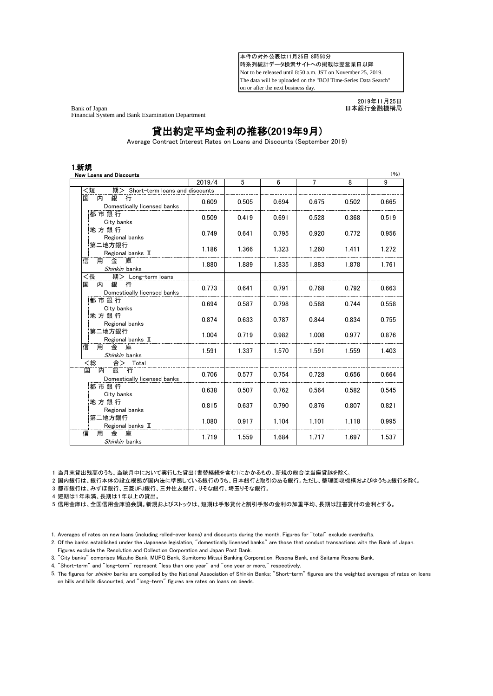本件の対外公表は11月25日 8時50分 時系列統計データ検索サイトへの掲載は翌営業日以降 Not to be released until 8:50 a.m. JST on November 25, 2019. The data will be uploaded on the "BOJ Time-Series Data Search" on or after the next business day.

Bank of Japan 日本銀行金融機構局 Financial System and Bank Examination Department

2019年11月25日

## 貸出約定平均金利の推移(2019年9月)

Average Contract Interest Rates on Loans and Discounts (September 2019)

|                                                                                       | 2019/4 | 5     | $6 \overline{6}$ | 7     | $\overline{8}$ | 9     |
|---------------------------------------------------------------------------------------|--------|-------|------------------|-------|----------------|-------|
| <短<br>期> Short-term loans and discounts                                               |        |       |                  |       |                |       |
| 銀<br>内<br>国<br>行<br>Domestically licensed banks                                       | 0.609  | 0.505 | 0.694            | 0.675 | 0.502          | 0.665 |
| 都市銀行<br>City banks                                                                    | 0.509  | 0.419 | 0.691            | 0.528 | 0.368          | 0.519 |
| 地方銀行<br>Regional banks                                                                | 0.749  | 0.641 | 0.795            | 0.920 | 0.772          | 0.956 |
| 第二地方銀行<br>Regional banks II                                                           | 1.186  | 1.366 | 1.323            | 1.260 | 1.411          | 1.272 |
| 用<br>金<br>庫<br>信<br>Shinkin banks                                                     | 1.880  | 1.889 | 1.835            | 1.883 | 1.878          | 1.761 |
| <長<br>期> Long-term loans                                                              |        |       |                  |       |                |       |
| 銀行<br>内<br>国<br>Domestically licensed banks                                           | 0.773  | 0.641 | 0.791            | 0.768 | 0.792          | 0.663 |
| 都市銀行<br>City banks                                                                    | 0.694  | 0.587 | 0.798            | 0.588 | 0.744          | 0.558 |
| 地方銀行<br>Regional banks                                                                | 0.874  | 0.633 | 0.787            | 0.844 | 0.834          | 0.755 |
| 第二地方銀行<br>Regional banks II                                                           | 1.004  | 0.719 | 0.982            | 1.008 | 0.977          | 0.876 |
| 用<br>しゅうしょう いくのう かんきょう しょうかん しょうこう かいじょう かいじょう かいじょう じょうこう かいしゃ<br>信<br>Shinkin banks | 1.591  | 1.337 | 1.570            | 1.591 | 1.559          | 1.403 |
| <総<br>合> Total                                                                        |        |       |                  |       |                |       |
| 銀<br>行<br>国<br>内<br>Domestically licensed banks                                       | 0.706  | 0.577 | 0.754            | 0.728 | 0.656          | 0.664 |
| 都市銀行<br>City banks                                                                    | 0.638  | 0.507 | 0.762            | 0.564 | 0.582          | 0.545 |
| 地方銀行<br>Regional banks                                                                | 0.815  | 0.637 | 0.790            | 0.876 | 0.807          | 0.821 |
| 第二地方銀行<br>Regional banks II                                                           | 1.080  | 0.917 | 1.104            | 1.101 | 1.118          | 0.995 |
| 金<br>庫<br>信<br>用<br>Shinkin banks                                                     | 1.719  | 1.559 | 1.684            | 1.717 | 1.697          | 1.537 |

1 当月末貸出残高のうち、当該月中において実行した貸出(書替継続を含む)にかかるもの。新規の総合は当座貸越を除く。

2 国内銀行は、銀行本体の設立根拠が国内法に準拠している銀行のうち、日本銀行と取引のある銀行。ただし、整理回収機構およびゆうちょ銀行を除く。

3 都市銀行は、みずほ銀行、三菱UFJ銀行、三井住友銀行、りそな銀行、埼玉りそな銀行。

4 短期は1年未満、長期は1年以上の貸出。

4. "Short-term" and "long-term" represent "less than one year" and "one year or more," respectively.

<sup>5</sup> 信用金庫は、全国信用金庫協会調。新規およびストックは、短期は手形貸付と割引手形の金利の加重平均、長期は証書貸付の金利とする。

<sup>1.</sup> Averages of rates on new loans (including rolled-over loans) and discounts during the month. Figures for "total" exclude overdrafts.

<sup>2.</sup> Of the banks established under the Japanese legislation, "domestically licensed banks" are those that conduct transactions with the Bank of Japan. Figures exclude the Resolution and Collection Corporation and Japan Post Bank.

<sup>3.</sup> "City banks" comprises Mizuho Bank, MUFG Bank, Sumitomo Mitsui Banking Corporation, Resona Bank, and Saitama Resona Bank.

<sup>5.</sup> The figures for *shinkin* banks are compiled by the National Association of Shinkin Banks; "Short-term" figures are the weighted averages of rates on loans on bills and bills discounted, and "long-term" figures are rates on loans on deeds.